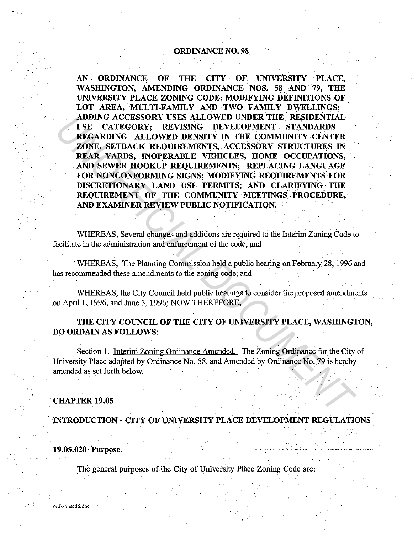#### ORDINANCE NO. 98

AN ORDINANCE OF THE CITY OF UNIVERSITY PLACE. WASHINGTON, AMENDING ORDINANCE NOS. 58 AND 79, THE UNIVERSITY PLACE ZONING CODE: MODIFYING DEFINITIONS OF LOT AREA, MULTI-FAMILY AND TWO FAMILY DWELLINGS; ADDING ACCESSORY USES ALLOWED UNDER THE RESIDENTIAL USE CATEGORY; REVISING DEVELOPMENT STANDARDS REGARDING ALLOWED DENSITY IN THE COMMUNITY CENTER ZONE, SETBACK REQUIREMENTS, ACCESSORY STRUCTURES IN REAR YARDS, INOPERABLE VEHICLES, HOME OCCUPATIONS, AND SEWER HOOKUP REQUIREMENTS; REPLACING LANGUAGE FOR NONCONFORMING SIGNS; MODIFYING REQUIREMENTS FOR DISCRETIONARY LAND USE PERMITS; AND CLARIFYING · THE REQUIREMENT OF THE COMMUNITY MEETINGS. PROCEDURE, AND EXAMINER REVIEW PUBLIC NOTIFICATION. ADDING ACCESSORY USES ALLOWED UNDER THE RESIDENTIAL<br>USE CATEGORY, REVISING DEVELOPMENT STANDARDS<br>REGARDING ALLOWED DENSITY IN THE COMMUNITY CENTER<br>ZONE, SETBACK REQUIREMENTS, ACCESSORY STRUCTURES IN<br>REAR YARDS, INDEPERDENT

WHEREAS, Several changes and additions are required to the Interim Zoning Code to facilitate in the administration and enforcement of the code; and

WHEREAS, The Planning Commission held a public hearing on February 28, 1996 and has recommended these amendments to the zoning code; and

WHEREAS, the City Council held public hearings to consider the proposed amendments on April 1, 1996, and June 3, 1996; NOW THEREFORE,

THE CITY COUNCIL OF THE CITY OF UNIVERSITY PLACE, WASHINGTON, DO ORDAIN AS FOLLOWS:

Section 1. Interim Zoning Ordinance Amended. The Zoning Ordinance for the City of University Place adopted by Ordinance No. 58, and Amended by Ordinance No. 79 is hereby amended as set forth below.

#### CHAPTER 19.05

. INTRODUCTION - CITY OF UNIVERSITY PLACE DEVELOPMENT REGULATIONS

19.05.020 · Purpose.

The general purposes of the City of University Place Zoning Code are: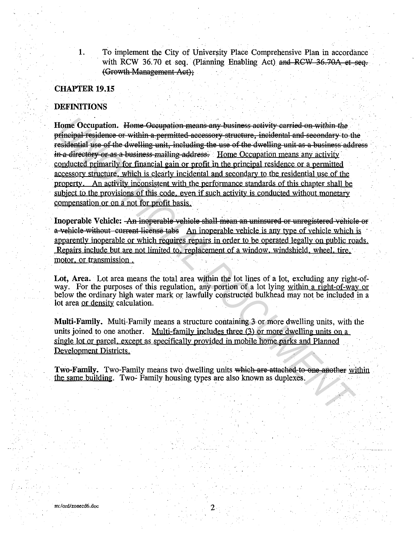To implement the City of University Place Comprehensive Plan in accordance with RCW 36.70 et seq. (Planning Enabling Act) and RCW 36.70A et seq. (Growth Management Act):

#### **CHAPTER 19.15**

1.

#### **DEFINITIONS**

Home Occupation. Home Occupation means any business activity carried on within the principal residence or within a permitted accessory structure, incidental and secondary to the residential use of the dwelling unit, including the use of the dwelling unit as a business address in a directory or as a business mailing address. Home Occupation means any activity conducted primarily for financial gain or profit in the principal residence or a permitted accessory structure, which is clearly incidental and secondary to the residential use of the property. An activity inconsistent with the performance standards of this chapter shall be subject to the provisions of this code, even if such activity is conducted without monetary compensation or on a not for profit basis.

Inoperable Vehicle: An inoperable vehicle shall mean an uninsured or unregistered vehicle or a vehicle without current license tabs An inoperable vehicle is any type of vehicle which is apparently inoperable or which requires repairs in order to be operated legally on public roads. Repairs include but are not limited to, replacement of a window, windshield, wheel, tire, motor, or transmission.

Lot, Area. Lot area means the total area within the lot lines of a lot, excluding any right-ofway. For the purposes of this regulation, any portion of a lot lying within a right-of-way or below the ordinary high water mark or lawfully constructed bulkhead may not be included in a lot area or density calculation.

Multi-Family. Multi-Family means a structure containing 3 or more dwelling units, with the units joined to one another. Multi-family includes three (3) or more dwelling units on a single lot or parcel, except as specifically provided in mobile home parks and Planned Development Districts.

Two-Family. Two-Family means two dwelling units which are attached to one another within the same building. Two- Family housing types are also known as duplexes.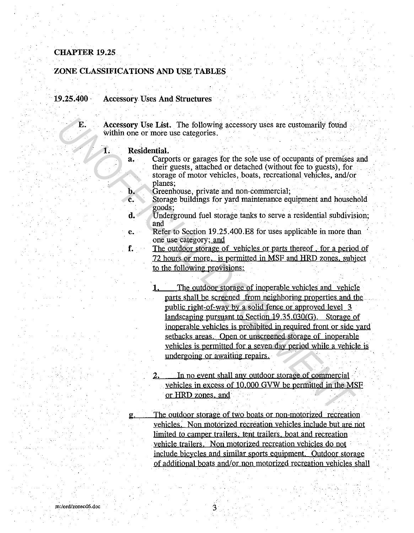#### ZONE CLASSIFICATIONS AND USE TABLES

19.25.400 · Accessory Uses And Structures

E. Accessory Use List. The following accessory uses are customarily found . within one or more use categories.

1. Residential.

g.

- a. Carports or garages for the sole use of occupants of premises and their guests, attached or detached (without fee to guests), for storage of motor vehicles, boats, recreational vehicles, and/or planes;  $\mathbf{p}$   $\mathbf{p}$   $\mathbf{p}$   $\mathbf{p}$   $\mathbf{p}$   $\mathbf{p}$   $\mathbf{p}$   $\mathbf{p}$   $\mathbf{p}$   $\mathbf{p}$   $\mathbf{p}$   $\mathbf{p}$   $\mathbf{p}$   $\mathbf{p}$   $\mathbf{p}$   $\mathbf{p}$   $\mathbf{p}$   $\mathbf{p}$   $\mathbf{p}$   $\mathbf{p}$   $\mathbf{p}$   $\mathbf{p}$   $\mathbf{p}$   $\mathbf{p$ 
	-
- **b. Greenhouse, private and non-commercial; c.** Storage buildings for yard maintenance equipment and household goods;
- d. Underground fuel storage tanks to serve a residential subdivision; and  $\mathcal{F}$  and  $\mathcal{F}$  and  $\mathcal{F}$  and  $\mathcal{F}$  are the set of  $\mathcal{F}$  and  $\mathcal{F}$
- e. Refer to Section 19.25.400.E8 for uses applicable in more than one use category; and
- f. The outdoor storage of vehicles or parts thereof , for a period of 72 hours or more. is permitted in MSF and HRD zones. subject . to the following provisions:
- The outdoor storage of inoperable vehicles and vehicle parts shall be screened from neighboring properties and the public right-of-way by a solid fence or approved level 3 landscaping pursuant to Section 19.35.030(G). Storage of inoperable vehicles is prohibited in required front or side yard setbacks areas. Open or unscreened storage of inoperable vehicles is permitted for a seven day period while a vehicle is undergoing or awaiting repairs. **E.** Accessory Use List. The following accessory uses are customarily found<br>
avidain one or more use categories.<br> **E.** Residential Carporis or garages for the sole use of occupants of premises<br>
a. Carporis or garages for t
	- 2. In no event shall any outdoor storage of commercial vehicles in excess of 10.000 GVW be permitted in the MSF or HRD zones, and

The outdoor storage of two boats or non-motorized recreation vehicles: Non motorized recreation vehicles include but are not limited to camper trailers, tent trailers, boat and recreation vehicle trailers. Non motorized recreation vehicles do not include bicycles and similar sports equipment. Outdoor storage of additional boats and/or non motorized recreation vehicles shall

3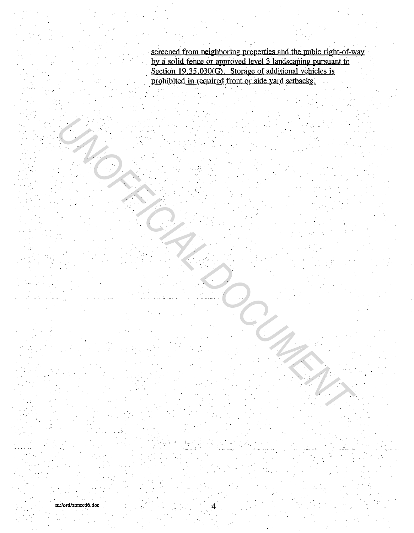screened from neighboring properties and the pubic right-of-way by a solid fence or approved level 3 landscaping pursuant to Section 19.35.030(G). Storage of additional vehicles is prohibited in required front or side yard setbacks.

4

*UNOFFICIAL DOCUMENT*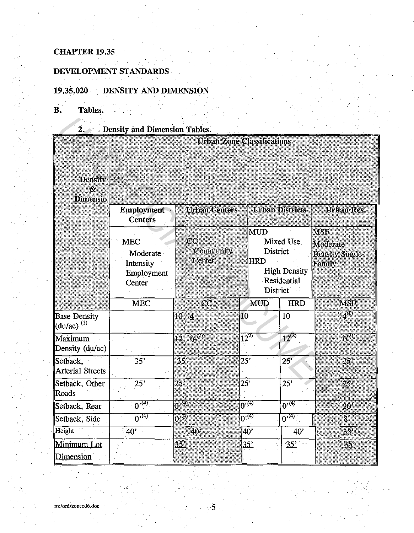## **DEVELOPMENT STANDARDS**

## **19.35.020 DENSITY AND DIMENSION**

# **B. Tables.**

| 2.8 <sub>1</sub>                                | <b>Density and Dimension Tables.</b>                        |                                        |              |                                                                |                                                 |                                                     |
|-------------------------------------------------|-------------------------------------------------------------|----------------------------------------|--------------|----------------------------------------------------------------|-------------------------------------------------|-----------------------------------------------------|
| <b>Density</b><br>8.<br><b>Dimensio</b>         |                                                             | <b>Urban Zone Classifications</b>      |              |                                                                |                                                 |                                                     |
|                                                 | <b>Employment</b><br><b>Centers</b>                         | <b>Urban Centers</b>                   |              |                                                                | <b>Urban Districts</b>                          | <b>Unbana</b> Reco                                  |
|                                                 | <b>MEC</b><br>Moderate<br>Intensity<br>Employment<br>Center | $\overline{C}C$<br>Community<br>Center |              | <b>MUD</b><br><b>District</b><br><b>HRD</b><br><b>District</b> | Mixed Use<br><b>High Density</b><br>Residential | <b>MSF</b><br>Moderate<br>Density Single-<br>Family |
|                                                 | <b>MEC</b>                                                  | $\overline{\text{cc}}$                 |              | <b>MUD</b>                                                     | <b>HRD</b>                                      | MSE                                                 |
| <b>Base Density</b><br>$(du/ac)$ <sup>(1)</sup> |                                                             | $10-4$                                 | 10           |                                                                | 10                                              | $\lambda^{(1)}$                                     |
| Maximum<br>Density (du/ac)                      |                                                             | $12\,$ $6^\mathrm{op}$                 |              | $\overline{12^{25}}$                                           | $12^{(2)}$                                      | $\overline{6}$ <sup>20</sup>                        |
| Setback,<br><b>Arterial Streets</b>             | 35'                                                         | 35 <sup>2</sup>                        | 25'          |                                                                | 25'                                             | $25^{\circ}$                                        |
| Setback, Other<br>$\text{Roads}$                | 25'                                                         | $25^\circ$                             | $25^{\circ}$ |                                                                | 25'                                             | $25^{\circ}$                                        |
| Setback, Rear                                   | $0^{(4)}$                                                   | $0^{(4)}$                              |              | $0^{(4)}$                                                      | $0^{1(4)}$                                      | $30^{\circ}$                                        |
| Setback, Side                                   | $0^{1(4)}$                                                  | $0^{(4)}$                              |              | $0^{(4)}$                                                      | $0^{(4)}$                                       | 8 <sup>1</sup>                                      |
| Height                                          | $40^\circ$                                                  | 40 <sup>3</sup>                        |              | 40'                                                            | 40'                                             | $35^{\circ}$                                        |
| Minimum Lot<br>Dimension                        |                                                             | 35 <sup>2</sup>                        |              | <u>35'</u>                                                     | 35                                              | 35)                                                 |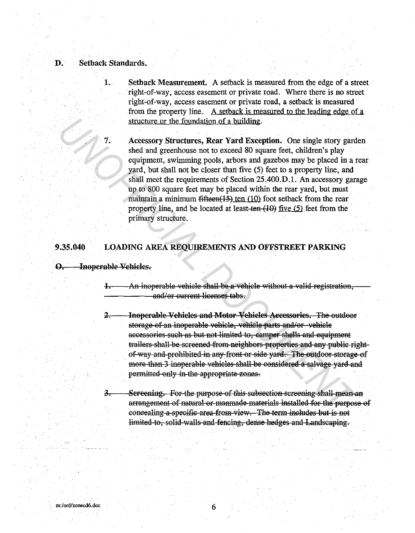#### D. Setback Standards.

1. Setback Measurement. A setback is measured from the edge of a street right-of-way, access easement or private road. Where there is no street right~of-way, access easement or private road, a setback is measured from the property line. A setback is measured to the leading edge of a structure or the foundation of a building.

Accessory Structures, Rear Yard Exception. One single story garden shed and greenhouse not to exceed 80 square feet, children's play equipment, swimming pools, arbors and gazebos may be placed in a rear yard, but shall not be closer than five (5) feet to a property line, and shall meet the requirements of Section 25 .400.D .1. An accessory garage up to 800 square feet may be placed within the rear yard, but must maintain a minimum fifteen(15) ten  $(10)$  foot setback from the rear property line, and be located at least-ten  $(10)$  five  $(5)$  feet from the primary structure. **The structure or the foundation of a building:**<br> **Exact Structures, Rear Yard Exception.** One single story gave sheld and greenbouse not to exceed 80 square feet, children's play<br>
equipment, swimming pools, arbors and gaz

#### 9.35.040 LOADING AREA REQUIREMENTS AND OFFSTREET PARKING

O. Inoperable Vehicles.

3.

 $1$ An inoperable vehiele shall be a vehicle without a valid registration, and/or current licenses tabs.

- 2. Inoperable Vehicles and Motor Vehicles Accessories. The outdoor storage of an inoperable vehicle, vehicle parts and/or vehicle aecessories such as but not limited to, camper shells and equipment trailers shall be screened from neighbors properties and any public rightof way and prohibited in any front or side yard. The outdoor storage of more than 3 inoperable vehicles shall be considered a salvage vard and permitted only in the appropriate zones.
	- Sereening. For the purpose of this subsection screening shall mean an arrangement of natural or manmade materials installed for the purpose of eoncealing a specific area from view. The term includes but is not limited to, solid walls and fencing, dense hedges and Landscaping.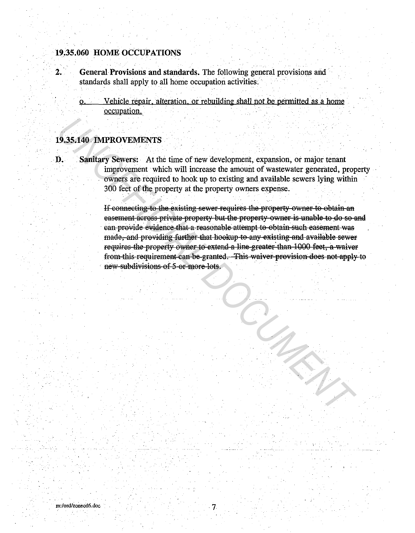## 19.35.060 HOME OCCUPATIONS

- General Provisions and standards. The following general provisions and  $\overline{2}$ . standards shall apply to all home occupation activities.
	- Vehicle repair, alteration, or rebuilding shall not be permitted as a home  $\mathbf{O}$ occupation.

#### 19.35.140 IMPROVEMENTS

D.

Sanitary Sewers: At the time of new development, expansion, or major tenant improvement which will increase the amount of wastewater generated, property owners are required to hook up to existing and available sewers lying within 300 feet of the property at the property owners expense.

> If connecting to the existing sewer requires the property owner to obtain an easement across private property but the property owner is unable to do so and can provide evidence that a reasonable attempt to obtain such easement was made, and providing further that hookup to any existing and available sewer requires the property owner to extend a line greater than 1000 feet, a waiver from this requirement can be granted. This waiver provision does not apply to new subdivisions of 5-or more lots.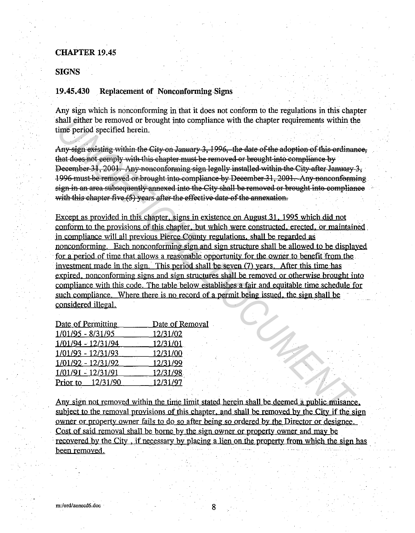#### **SIGNS**

#### 19.45.430 Replacement of Nonconforming Signs

Any sign which is nonconforming in that it does not conform to the regulations in this chapter shall either be removed or brought into compliance with the chapter requirements within the time period specified herein.

Any sign existing within the City on January 3, 1996, the date of the adoption of this ordinance, that does not comply with this chapter must be removed or brought into compliance by December 31, 2001. Any nonconforming sign legally installed within the City after January 3, 1996 must be removed or brought into compliance by December 31, 2001. Any nonconforming sign in an area subsequently annexed into the City shall be removed or brought into compliance with this chapter five (5) years after the effective date of the annexation.

Except as provided in this chapter. signs in existence on August 31. 1995 which did not conform to the provisions of this chapter. but which were constructed. erected. or maintained. in compliance will all previous Pierce County regulations. shall be regarded as nonconforming. Each nonconforming sign and sign structure shall be allowed to be displayed for a period of time that allows a reasonable opportunity for the owner to benefit from the investment made in the sign. This period shall be seven  $(7)$  years. After this time has expired. nonconforming signs and sign structures shall be removed or otherwise brought into compliance with this code. The table below establishes a fair and equitable time schedule for such compliance. Where there is no record of a permit being issued, the sign shall be considered illegal. Final gither be removed or brought into compliance with the chapter requirements within the period specified herein.<br>
Any sign swissing with this chapter must be removed or brought into compliance by<br>
Any sign sying with

| Date of Permitting  | Date of Removal |
|---------------------|-----------------|
| $1/01/95 - 8/31/95$ | 12/31/02        |
| 1/01/94 - 12/31/94  | 12/31/01        |
| 1/01/93 - 12/31/93  | 12/31/00        |
| 1/01/92 - 12/31/92  | 12/31/99        |
| 1/01/91 - 12/31/91  | 12/31/98        |
| Prior to 12/31/90   | 12/31/97        |

Any sign not removed within the time limit stated herein shall be deemed a public nuisance. subject to the removal provisions of this chapter, and shall be removed by the City if the sign owner or property owner fails to do so after being so ordered by the Director or designee. Cost of said removal shall be borne by the sign owner or property owner and may be recovered by the City, if necessary by placing a lien on the property from which the sign has been removed.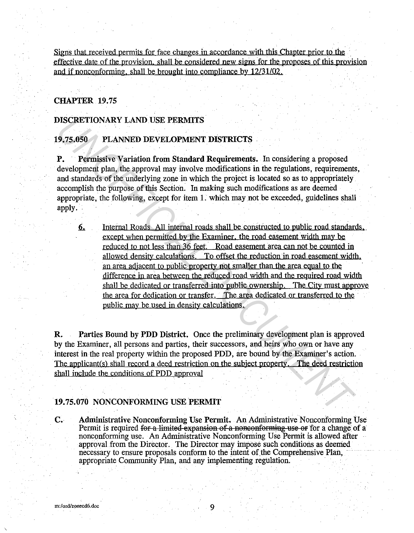Signs that received permits for face changes in accordance with this Chapter prior to the effective date of the provision. shall be considered new signs for the proposes of this provision and if nonconforming, shall be brought into compliance by  $12/31/02$ .

#### CHAPTER 19.75

#### DISCRETIONARY LAND USE PERMITS

#### 19.75.050 PLANNED DEVELOPMENT DISTRICTS

P. Permissive Variation from Standard Requirements. In considering a proposed development plan, the approval may involve modifications in the regulations, requirements, and standards of the underlying zone in which the project is located so as to appropriately accomplish the purpose of this Section. In making such modifications as are deemed appropriate, the following, except for item 1. which may not be exceeded, guidelines shall apply.

6. Internal Roads All internal roads shall be constructed to public road standards. except when permitted by the Examiner. the road easement width may be reduced to not less than 36 feet. Road easement area can not be counted in allowed density calculations. To offset the reduction in road easement width. an area adjacent to public property not smaller than the area equal to the difference in area between the reduced road width and the required road width shall be dedicated or transferred into public ownership. The City must approve the area for dedication or transfer. The area dedicated or transferred to the public may be used in density calculations. **UNCRETIONARY LAND USE PERMITS**<br> **U.37.650** PLANNED DEVELOPMENT DISTRICTS<br> **P.** Permissive Variation from Standard Requirements. In considering a proposed<br>
development plan, the approval may involve modifications in the re

R. Parties Bound by PDD District. Once the preliminary development plan is approved by the Examiner, all persons and parties, their successors, and heirs who own or have any interest in the real property within the proposed PDD, are bound by the Examiner's action. The applicant(s) shall record a deed restriction on the subject property. The deed restriction shall include the conditions of PDD approval

#### 19. 75.070 NONCONFORMING USE PERMIT

C. Administrative Nonconforming Use Permit. An Administrative Nonconforming Use Permit is required for a limited expansion of a noneonforming use or for a change of a nonconforming use. An Administrative Nonconforming Use Permit is allowed after approval from the Director. The Director may impose such conditions as deemed necessary to ensure proposals conform to the intent of the Comprehensive Plan, appropriate Community Plan, and any implementing regulation.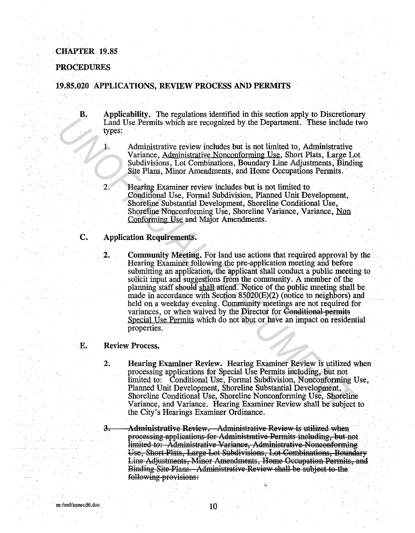#### PROCEDURES

#### 19.85.020 APPLICATIONS, REVIEW PROCESS AND PERMITS

- B. Applicability. The regulations identified in this section apply to Discretionary Land Use Permits which are recognized by the Department. These include two types:  $\mathbf{y} = \mathbf{y}$  is a set of  $\mathbf{y} = \mathbf{y}$  is a set of  $\mathbf{y} = \mathbf{y}$ 
	- 1. Administrative review includes but is not limited to, Administrative Variance, Administrative Nonconforming Use, Short Plats, Large Lot Subdivisions, Lot Combinations, Boundary Line Adjustments, Binding Site Plans, Minor Amendments, and Home Occupations Permits.
	- 2. Hearing Examiner review includes but is not limited to Conditional Use, Formal Subdivision, Planned Unit Development, Shoreline Substantial Development, Shoreline Conditional Use, Shoreline Nonconforming Use, Shoreline Variance, Variance, Non Conforming Use and Major Amendments.

#### C. Application Requirements.

2. Community Meeting. For land use actions that required approval by the Hearing Examiner following the pre-application meeting and before submitting an application, the applicant shall conduct a public meeting to solicit input and suggestions from the community. A member of the planning staff should shall attend. Notice of the public meeting shall be made in accordance with Section  $85020(E)(2)$  (notice to neighbors) and held on a weekday evening. Community meetings are not required for variances, or when waived by the Director for Conditional permits Special Use Permits which do not abut or have an impact on residential properties. From the two-states of the two-states of the Control Control Control Control Control Control Control Control Control Control Control Control Control Control States (Administrative Nonconforming Use, Short Plats, Large LC a

#### E. Review Process.

- 2. Hearing Examiner Review. Hearing Examiner Review is utilized when processing applications for Special Use Permits including, but not limited to: Conditional Use, Formal Subdivision, Nonconforming Use, Planned Unit Development, Shoreline Substantial Development, Shoreline Conditional Use, Shoreline Nonconforming Use, Shoreline Variance, and Variance. Hearing Examiner Review shall be subject to the City's Hearings Examiner Ordinance.
- 3. Administrative Review. Administrative Review is utilized when processing applications for Administrative Permits including, but not limited to: Administrative Variance, Administrative Nonconforming Use, Short Plats, Large Lot Subdivisions, Lot Combinations, Boundary Line Adjustments, Minor Amendments, Home Occupation Permits, and Binding Site Plans. Administrative Review shall be subject to the following provisions: